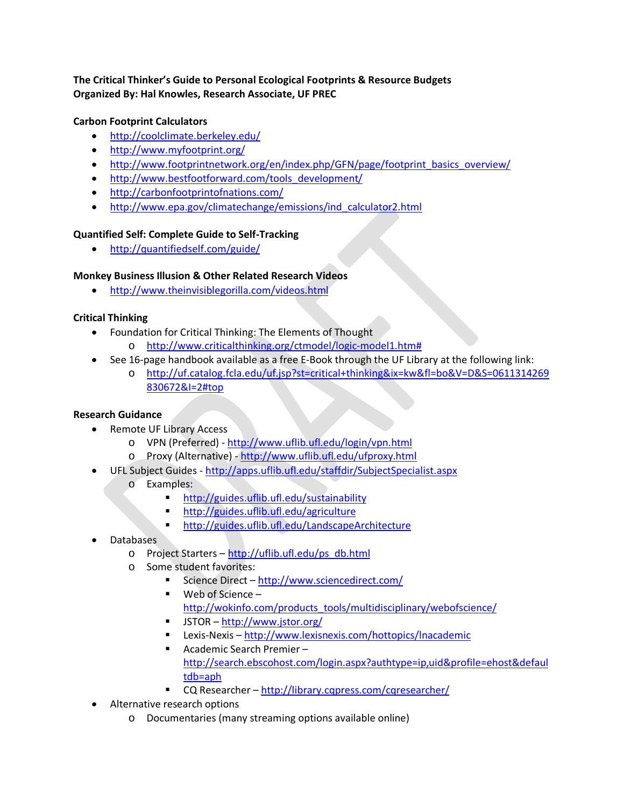# **The Critical Thinker's Guide to Personal Ecological Footprints & Resource Budgets Organized By: Hal Knowles, Research Associate, UF PREC**

#### **Carbon Footprint Calculators**

- <http://coolclimate.berkeley.edu/>
- <http://www.myfootprint.org/>
- [http://www.footprintnetwork.org/en/index.php/GFN/page/footprint\\_basics\\_overview/](http://www.footprintnetwork.org/en/index.php/GFN/page/footprint_basics_overview/)
- [http://www.bestfootforward.com/tools\\_development/](http://www.bestfootforward.com/tools_development/)
- <http://carbonfootprintofnations.com/>
- [http://www.epa.gov/climatechange/emissions/ind\\_calculator2.html](http://www.epa.gov/climatechange/emissions/ind_calculator2.html)

#### **Quantified Self: Complete Guide to Self-Tracking**

• <http://quantifiedself.com/guide/>

## **Monkey Business Illusion & Other Related Research Videos**

• <http://www.theinvisiblegorilla.com/videos.html>

## **Critical Thinking**

- Foundation for Critical Thinking: The Elements of Thought
	- o [http://www.criticalthinking.org/ctmodel/logic-model1.htm#](http://www.criticalthinking.org/ctmodel/logic-model1.htm)
- See 16-page handbook available as a free E-Book through the UF Library at the following link:
	- o [http://uf.catalog.fcla.edu/uf.jsp?st=critical+thinking&ix=kw&fl=bo&V=D&S=0611314269](http://uf.catalog.fcla.edu/uf.jsp?st=critical+thinking&ix=kw&fl=bo&V=D&S=0611314269830672&I=2#top) [830672&I=2#top](http://uf.catalog.fcla.edu/uf.jsp?st=critical+thinking&ix=kw&fl=bo&V=D&S=0611314269830672&I=2#top)

## **Research Guidance**

- Remote UF Library Access
	- o VPN (Preferred) <http://www.uflib.ufl.edu/login/vpn.html>
	- o Proxy (Alternative) <http://www.uflib.ufl.edu/ufproxy.html>
- UFL Subject Guides <http://apps.uflib.ufl.edu/staffdir/SubjectSpecialist.aspx>
	- o Examples:<br>**htt** 
		- <http://guides.uflib.ufl.edu/sustainability>
		- <http://guides.uflib.ufl.edu/agriculture>
		- <http://guides.uflib.ufl.edu/LandscapeArchitecture>
- Databases
	- o Project Starters [http://uflib.ufl.edu/ps\\_db.html](http://uflib.ufl.edu/ps_db.html)
	- o Some student favorites:
		- Science Direct <http://www.sciencedirect.com/>
		- Web of Science [http://wokinfo.com/products\\_tools/multidisciplinary/webofscience/](http://wokinfo.com/products_tools/multidisciplinary/webofscience/)
		- JSTOR <http://www.jstor.org/>
		- Lexis-Nexis <http://www.lexisnexis.com/hottopics/lnacademic>
		- Academic Search Premier [http://search.ebscohost.com/login.aspx?authtype=ip,uid&profile=ehost&defaul](http://search.ebscohost.com/login.aspx?authtype=ip,uid&profile=ehost&defaultdb=aph) [tdb=aph](http://search.ebscohost.com/login.aspx?authtype=ip,uid&profile=ehost&defaultdb=aph)
		- CQ Researcher <http://library.cqpress.com/cqresearcher/>
- Alternative research options
	- o Documentaries (many streaming options available online)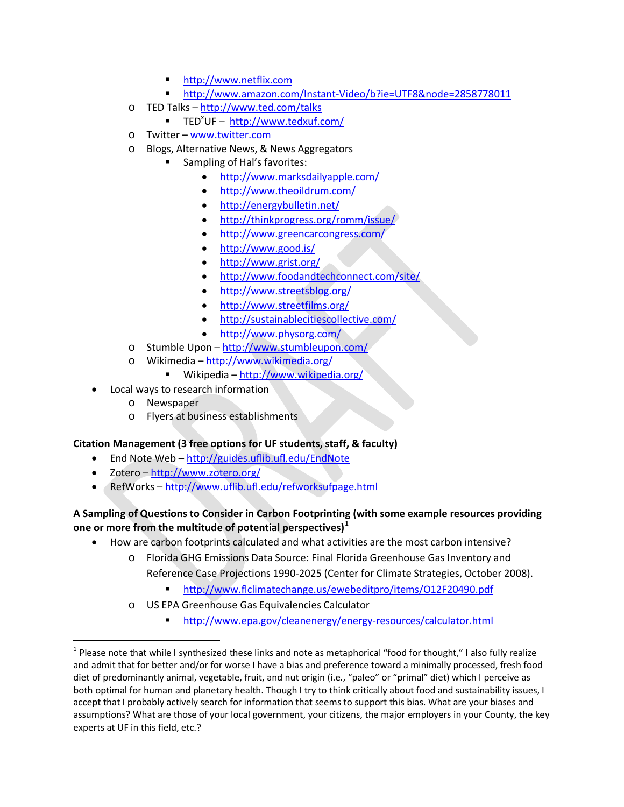- [http://www.netflix.com](http://www.netflix.com/)
- <http://www.amazon.com/Instant-Video/b?ie=UTF8&node=2858778011>
- o TED Talks <http://www.ted.com/talks>
	- TED<sup>x</sup>UF -<http://www.tedxuf.com/>
- o Twitter [www.twitter.com](http://www.twitter.com/)
- o Blogs, Alternative News, & News Aggregators
	- **Sampling of Hal's favorites:** 
		- <http://www.marksdailyapple.com/>
		- <http://www.theoildrum.com/>
		- <http://energybulletin.net/>
		- <http://thinkprogress.org/romm/issue/>
		- <http://www.greencarcongress.com/>
		- <http://www.good.is/>
		- <http://www.grist.org/>
		- <http://www.foodandtechconnect.com/site/>
		- <http://www.streetsblog.org/>
		- <http://www.streetfilms.org/>
		- <http://sustainablecitiescollective.com/>
		- <http://www.physorg.com/>
- o Stumble Upon <http://www.stumbleupon.com/>
- o Wikimedia <http://www.wikimedia.org/>
	- Wikipedia <http://www.wikipedia.org/>
- Local ways to research information
	- o Newspaper
	- o Flyers at business establishments

#### **Citation Management (3 free options for UF students, staff, & faculty)**

- End Note Web <http://guides.uflib.ufl.edu/EndNote>
- Zotero <http://www.zotero.org/>
- RefWorks <http://www.uflib.ufl.edu/refworksufpage.html>

#### **A Sampling of Questions to Consider in Carbon Footprinting (with some example resources providing one or more from the multitude of potential perspectives)[1](#page-1-0)**

- How are carbon footprints calculated and what activities are the most carbon intensive?
	- o Florida GHG Emissions Data Source: Final Florida Greenhouse Gas Inventory and Reference Case Projections 1990-2025 (Center for Climate Strategies, October 2008).
		- <http://www.flclimatechange.us/ewebeditpro/items/O12F20490.pdf>
	- US EPA Greenhouse Gas Equivalencies Calculator
		- <http://www.epa.gov/cleanenergy/energy-resources/calculator.html>

<span id="page-1-0"></span> $1$  Please note that while I synthesized these links and note as metaphorical "food for thought," I also fully realize and admit that for better and/or for worse I have a bias and preference toward a minimally processed, fresh food diet of predominantly animal, vegetable, fruit, and nut origin (i.e., "paleo" or "primal" diet) which I perceive as both optimal for human and planetary health. Though I try to think critically about food and sustainability issues, I accept that I probably actively search for information that seems to support this bias. What are your biases and assumptions? What are those of your local government, your citizens, the major employers in your County, the key experts at UF in this field, etc.?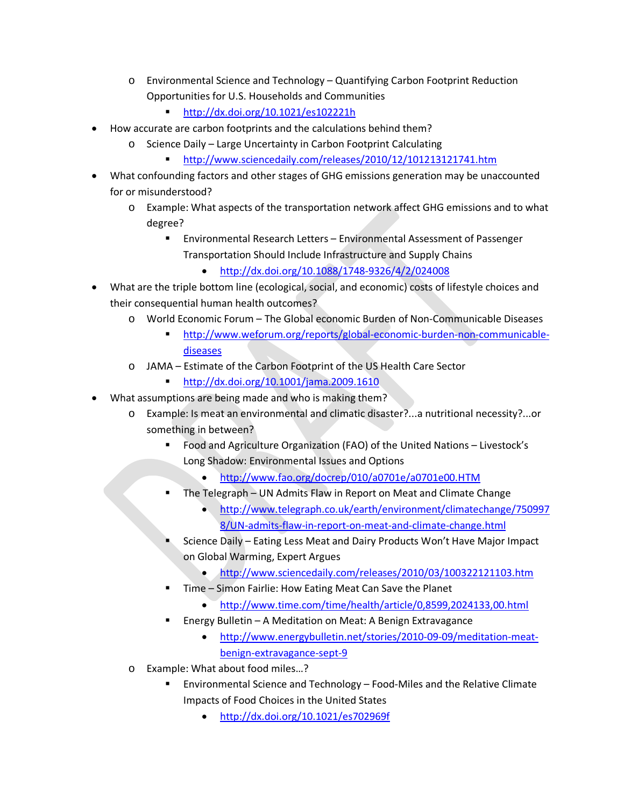- o Environmental Science and Technology Quantifying Carbon Footprint Reduction Opportunities for U.S. Households and Communities
	- <http://dx.doi.org/10.1021/es102221h>
- How accurate are carbon footprints and the calculations behind them?
	- o Science Daily Large Uncertainty in Carbon Footprint Calculating
		- <http://www.sciencedaily.com/releases/2010/12/101213121741.htm>
- What confounding factors and other stages of GHG emissions generation may be unaccounted for or misunderstood?
	- o Example: What aspects of the transportation network affect GHG emissions and to what degree?
		- Environmental Research Letters Environmental Assessment of Passenger Transportation Should Include Infrastructure and Supply Chains
			- <http://dx.doi.org/10.1088/1748-9326/4/2/024008>
- What are the triple bottom line (ecological, social, and economic) costs of lifestyle choices and their consequential human health outcomes?
	- o World Economic Forum The Global economic Burden of Non-Communicable Diseases
		- [http://www.weforum.org/reports/global-economic-burden-non-communicable](http://www.weforum.org/reports/global-economic-burden-non-communicable-diseases)[diseases](http://www.weforum.org/reports/global-economic-burden-non-communicable-diseases)
	- o JAMA Estimate of the Carbon Footprint of the US Health Care Sector
		- <http://dx.doi.org/10.1001/jama.2009.1610>
- What assumptions are being made and who is making them?
	- o Example: Is meat an environmental and climatic disaster?...a nutritional necessity?...or something in between?
		- Food and Agriculture Organization (FAO) of the United Nations Livestock's Long Shadow: Environmental Issues and Options
			- <http://www.fao.org/docrep/010/a0701e/a0701e00.HTM>
		- The Telegraph UN Admits Flaw in Report on Meat and Climate Change
			- [http://www.telegraph.co.uk/earth/environment/climatechange/750997](http://www.telegraph.co.uk/earth/environment/climatechange/7509978/UN-admits-flaw-in-report-on-meat-and-climate-change.html) [8/UN-admits-flaw-in-report-on-meat-and-climate-change.html](http://www.telegraph.co.uk/earth/environment/climatechange/7509978/UN-admits-flaw-in-report-on-meat-and-climate-change.html)
		- Science Daily Eating Less Meat and Dairy Products Won't Have Major Impact on Global Warming, Expert Argues
			- <http://www.sciencedaily.com/releases/2010/03/100322121103.htm>
		- Time Simon Fairlie: How Eating Meat Can Save the Planet
			- <http://www.time.com/time/health/article/0,8599,2024133,00.html>
		- Energy Bulletin A Meditation on Meat: A Benign Extravagance
			- [http://www.energybulletin.net/stories/2010-09-09/meditation-meat](http://www.energybulletin.net/stories/2010-09-09/meditation-meat-benign-extravagance-sept-9)[benign-extravagance-sept-9](http://www.energybulletin.net/stories/2010-09-09/meditation-meat-benign-extravagance-sept-9)
	- o Example: What about food miles…?
		- Environmental Science and Technology Food-Miles and the Relative Climate Impacts of Food Choices in the United States
			- <http://dx.doi.org/10.1021/es702969f>